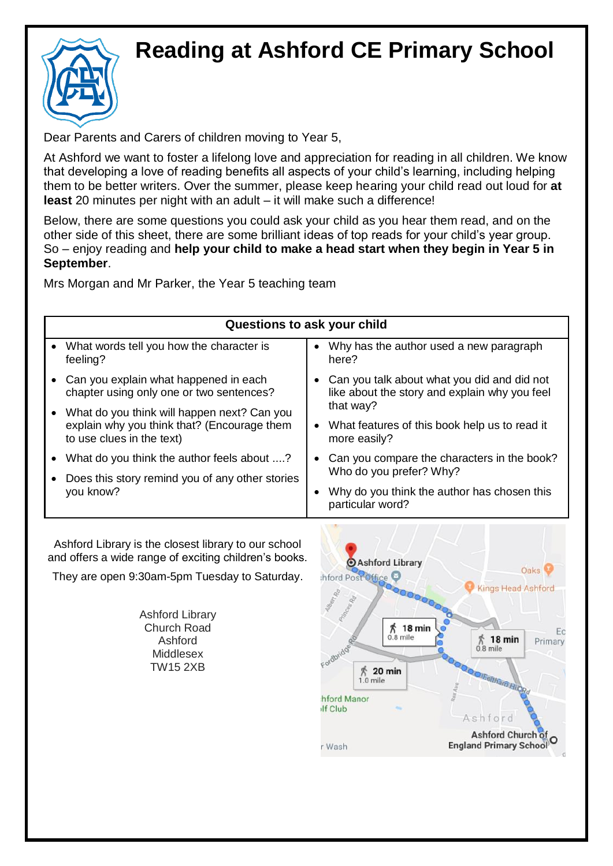## **Reading at Ashford CE Primary School**



Dear Parents and Carers of children moving to Year 5,

At Ashford we want to foster a lifelong love and appreciation for reading in all children. We know that developing a love of reading benefits all aspects of your child's learning, including helping them to be better writers. Over the summer, please keep hearing your child read out loud for **at least** 20 minutes per night with an adult – it will make such a difference!

Below, there are some questions you could ask your child as you hear them read, and on the other side of this sheet, there are some brilliant ideas of top reads for your child's year group. So – enjoy reading and **help your child to make a head start when they begin in Year 5 in September**.

Mrs Morgan and Mr Parker, the Year 5 teaching team

| Questions to ask your child                                                                                             |                                                                                              |
|-------------------------------------------------------------------------------------------------------------------------|----------------------------------------------------------------------------------------------|
| • What words tell you how the character is<br>feeling?                                                                  | Why has the author used a new paragraph<br>$\bullet$<br>here?                                |
| Can you explain what happened in each<br>chapter using only one or two sentences?                                       | Can you talk about what you did and did not<br>like about the story and explain why you feel |
| What do you think will happen next? Can you<br>explain why you think that? (Encourage them<br>to use clues in the text) | that way?<br>What features of this book help us to read it<br>$\bullet$<br>more easily?      |
| What do you think the author feels about ?<br>$\bullet$<br>Does this story remind you of any other stories<br>you know? | Can you compare the characters in the book?<br>$\bullet$<br>Who do you prefer? Why?          |
|                                                                                                                         | Why do you think the author has chosen this<br>particular word?                              |

Ashford Library is the closest library to our school and offers a wide range of exciting children's books.

They are open 9:30am-5pm Tuesday to Saturday.

Ashford Library Church Road Ashford Middlesex TW15 2XB